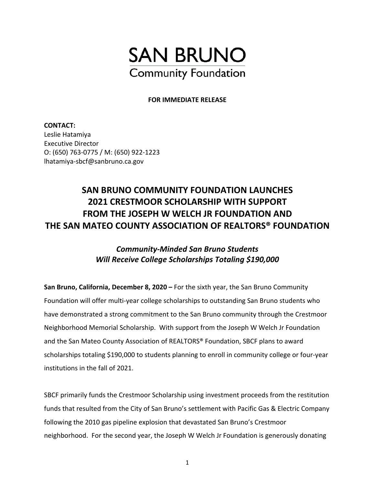

## **FOR IMMEDIATE RELEASE**

**CONTACT:**  Leslie Hatamiya Executive Director O: (650) 763-0775 / M: (650) 922-1223 lhatamiya-sbcf@sanbruno.ca.gov

## **SAN BRUNO COMMUNITY FOUNDATION LAUNCHES 2021 CRESTMOOR SCHOLARSHIP WITH SUPPORT FROM THE JOSEPH W WELCH JR FOUNDATION AND THE SAN MATEO COUNTY ASSOCIATION OF REALTORS® FOUNDATION**

## *Community-Minded San Bruno Students Will Receive College Scholarships Totaling \$190,000*

**San Bruno, California, December 8, 2020 –** For the sixth year, the San Bruno Community Foundation will offer multi-year college scholarships to outstanding San Bruno students who have demonstrated a strong commitment to the San Bruno community through the Crestmoor Neighborhood Memorial Scholarship. With support from the Joseph W Welch Jr Foundation and the San Mateo County Association of REALTORS® Foundation, SBCF plans to award scholarships totaling \$190,000 to students planning to enroll in community college or four-year institutions in the fall of 2021.

SBCF primarily funds the Crestmoor Scholarship using investment proceeds from the restitution funds that resulted from the City of San Bruno's settlement with Pacific Gas & Electric Company following the 2010 gas pipeline explosion that devastated San Bruno's Crestmoor neighborhood. For the second year, the Joseph W Welch Jr Foundation is generously donating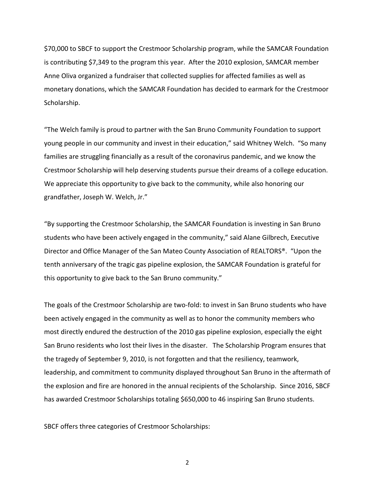\$70,000 to SBCF to support the Crestmoor Scholarship program, while the SAMCAR Foundation is contributing \$7,349 to the program this year. After the 2010 explosion, SAMCAR member Anne Oliva organized a fundraiser that collected supplies for affected families as well as monetary donations, which the SAMCAR Foundation has decided to earmark for the Crestmoor Scholarship.

"The Welch family is proud to partner with the San Bruno Community Foundation to support young people in our community and invest in their education," said Whitney Welch. "So many families are struggling financially as a result of the coronavirus pandemic, and we know the Crestmoor Scholarship will help deserving students pursue their dreams of a college education. We appreciate this opportunity to give back to the community, while also honoring our grandfather, Joseph W. Welch, Jr."

"By supporting the Crestmoor Scholarship, the SAMCAR Foundation is investing in San Bruno students who have been actively engaged in the community," said Alane Gilbrech, Executive Director and Office Manager of the San Mateo County Association of REALTORS®. "Upon the tenth anniversary of the tragic gas pipeline explosion, the SAMCAR Foundation is grateful for this opportunity to give back to the San Bruno community."

The goals of the Crestmoor Scholarship are two-fold: to invest in San Bruno students who have been actively engaged in the community as well as to honor the community members who most directly endured the destruction of the 2010 gas pipeline explosion, especially the eight San Bruno residents who lost their lives in the disaster. The Scholarship Program ensures that the tragedy of September 9, 2010, is not forgotten and that the resiliency, teamwork, leadership, and commitment to community displayed throughout San Bruno in the aftermath of the explosion and fire are honored in the annual recipients of the Scholarship. Since 2016, SBCF has awarded Crestmoor Scholarships totaling \$650,000 to 46 inspiring San Bruno students.

SBCF offers three categories of Crestmoor Scholarships:

2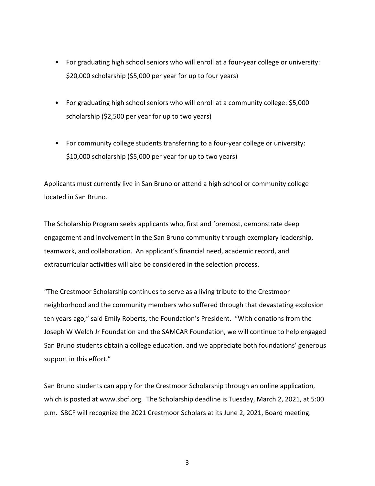- For graduating high school seniors who will enroll at a four-year college or university: \$20,000 scholarship (\$5,000 per year for up to four years)
- For graduating high school seniors who will enroll at a community college: \$5,000 scholarship (\$2,500 per year for up to two years)
- For community college students transferring to a four-year college or university: \$10,000 scholarship (\$5,000 per year for up to two years)

Applicants must currently live in San Bruno or attend a high school or community college located in San Bruno.

The Scholarship Program seeks applicants who, first and foremost, demonstrate deep engagement and involvement in the San Bruno community through exemplary leadership, teamwork, and collaboration. An applicant's financial need, academic record, and extracurricular activities will also be considered in the selection process.

"The Crestmoor Scholarship continues to serve as a living tribute to the Crestmoor neighborhood and the community members who suffered through that devastating explosion ten years ago," said Emily Roberts, the Foundation's President. "With donations from the Joseph W Welch Jr Foundation and the SAMCAR Foundation, we will continue to help engaged San Bruno students obtain a college education, and we appreciate both foundations' generous support in this effort."

San Bruno students can apply for the Crestmoor Scholarship through an online application, which is posted at www.sbcf.org. The Scholarship deadline is Tuesday, March 2, 2021, at 5:00 p.m. SBCF will recognize the 2021 Crestmoor Scholars at its June 2, 2021, Board meeting.